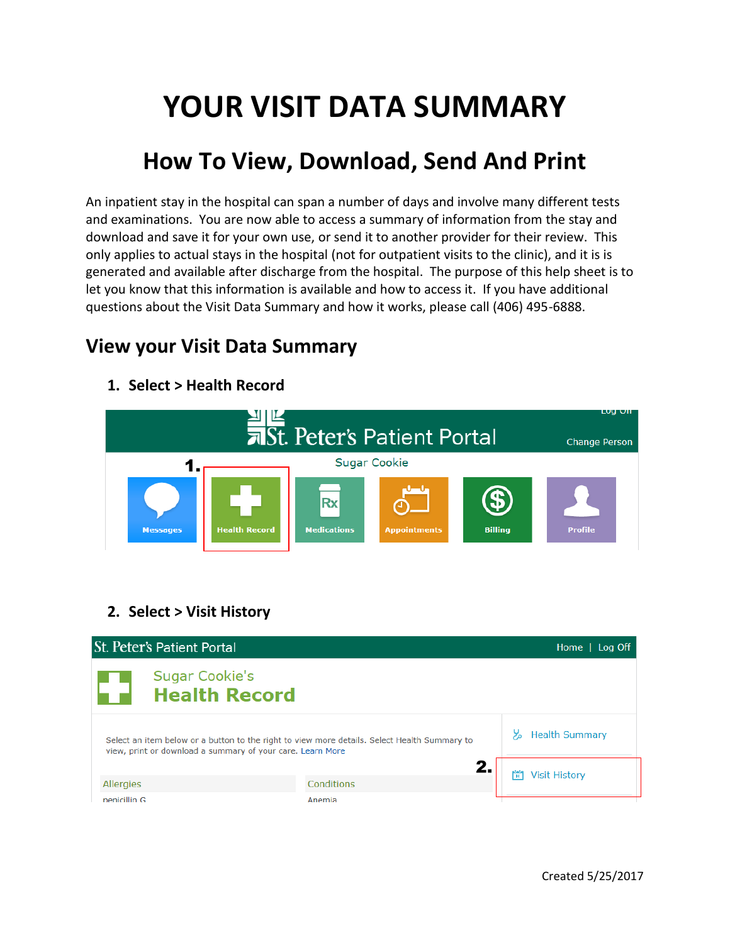# **YOUR VISIT DATA SUMMARY**

## **How To View, Download, Send And Print**

An inpatient stay in the hospital can span a number of days and involve many different tests and examinations. You are now able to access a summary of information from the stay and download and save it for your own use, or send it to another provider for their review. This only applies to actual stays in the hospital (not for outpatient visits to the clinic), and it is is generated and available after discharge from the hospital. The purpose of this help sheet is to let you know that this information is available and how to access it. If you have additional questions about the Visit Data Summary and how it works, please call (406) 495-6888.

## **View your Visit Data Summary**

示St. Peter's Patient Portal **Change Person** 1. **Sugar Cookie** Rx **Medications Messages Health Record Billing** Profile **Appointment:** 

#### **1. Select > Health Record**

#### **2. Select > Visit History**

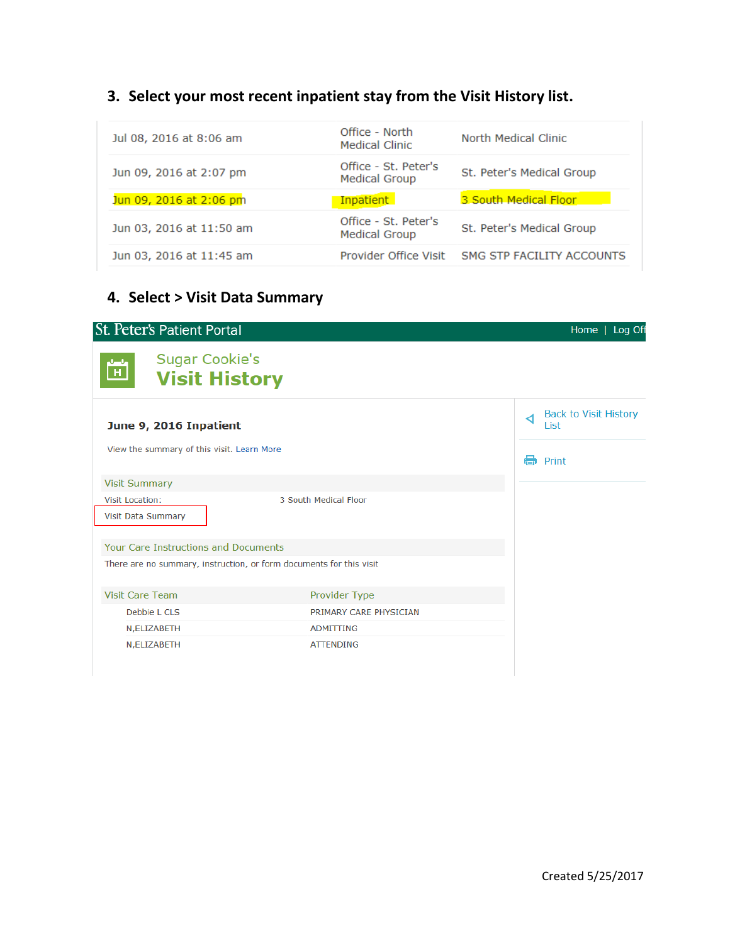## **3. Select your most recent inpatient stay from the Visit History list.**

| Jul 08, 2016 at 8:06 am  | Office - North<br><b>Medical Clinic</b>      | North Medical Clinic      |
|--------------------------|----------------------------------------------|---------------------------|
| Jun 09, 2016 at 2:07 pm  | Office - St. Peter's<br><b>Medical Group</b> | St. Peter's Medical Group |
| Jun 09, 2016 at 2:06 pm  | <b>Inpatient</b>                             | 3 South Medical Floor     |
|                          |                                              |                           |
| Jun 03, 2016 at 11:50 am | Office - St. Peter's<br><b>Medical Group</b> | St. Peter's Medical Group |

### **4. Select > Visit Data Summary**

| <b>St. Peter's Patient Portal</b>                                     | Home   Log Off                            |
|-----------------------------------------------------------------------|-------------------------------------------|
| <b>Sugar Cookie's</b><br>$\mathbf H$<br><b>Visit History</b>          |                                           |
| June 9, 2016 Inpatient                                                | <b>Back to Visit History</b><br>⊲<br>List |
| View the summary of this visit. Learn More                            | a<br>Print                                |
| <b>Visit Summary</b>                                                  |                                           |
| 3 South Medical Floor<br><b>Visit Location:</b><br>Visit Data Summary |                                           |
| Your Care Instructions and Documents                                  |                                           |
| There are no summary, instruction, or form documents for this visit   |                                           |
| <b>Visit Care Team</b><br>Provider Type                               |                                           |
| Debbie L CLS<br>PRIMARY CARE PHYSICIAN                                |                                           |
| ADMITTING<br>N, ELIZABETH                                             |                                           |
| N, ELIZABETH<br><b>ATTENDING</b>                                      |                                           |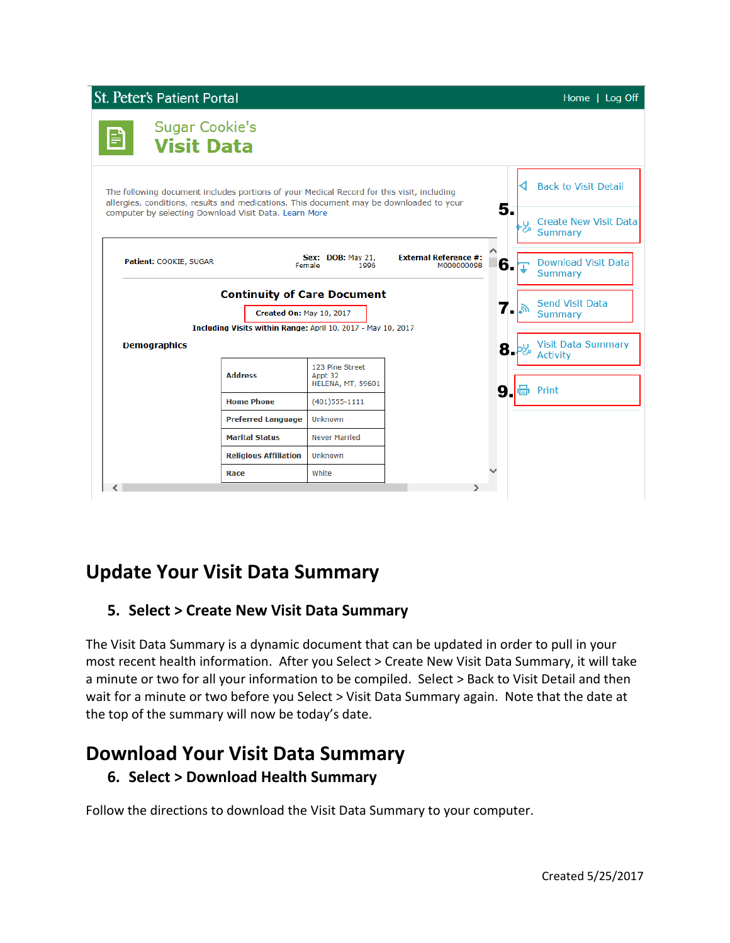

## **Update Your Visit Data Summary**

#### **5. Select > Create New Visit Data Summary**

The Visit Data Summary is a dynamic document that can be updated in order to pull in your most recent health information. After you Select > Create New Visit Data Summary, it will take a minute or two for all your information to be compiled. Select > Back to Visit Detail and then wait for a minute or two before you Select > Visit Data Summary again. Note that the date at the top of the summary will now be today's date.

## **Download Your Visit Data Summary**

#### **6. Select > Download Health Summary**

Follow the directions to download the Visit Data Summary to your computer.